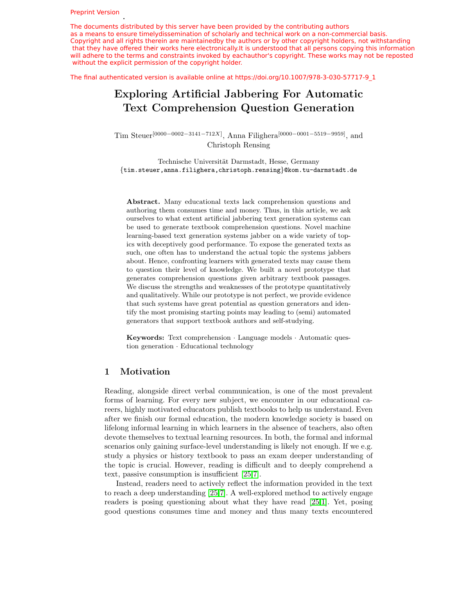The documents distributed by this server have been provided by the contributing authors as a means to ensure timelydissemination of scholarly and technical work on a non-commercial basis. Copyright and all rights therein are maintainedby the authors or by other copyright holders, not withstanding that they have offered their works here electronically.It is understood that all persons copying this information will adhere to the terms and constraints invoked by eachauthor's copyright. These works may not be reposted without the explicit permission of the copyright holder.

The final authenticated version is available online at https://doi.org/10.1007/978-3-030-57717-9\_1

# Exploring Artificial Jabbering For Automatic Text Comprehension Question Generation

 $\text{Tim Steuer}^{[0000-0002-3141-712X]}, \text{Anna Filighera}^{[0000-0001-5519-9959]}, \text{ and}$ Christoph Rensing

Technische Universität Darmstadt, Hesse, Germany {tim.steuer,anna.filighera,christoph.rensing}@kom.tu-darmstadt.de

Abstract. Many educational texts lack comprehension questions and authoring them consumes time and money. Thus, in this article, we ask ourselves to what extent artificial jabbering text generation systems can be used to generate textbook comprehension questions. Novel machine learning-based text generation systems jabber on a wide variety of topics with deceptively good performance. To expose the generated texts as such, one often has to understand the actual topic the systems jabbers about. Hence, confronting learners with generated texts may cause them to question their level of knowledge. We built a novel prototype that generates comprehension questions given arbitrary textbook passages. We discuss the strengths and weaknesses of the prototype quantitatively and qualitatively. While our prototype is not perfect, we provide evidence that such systems have great potential as question generators and identify the most promising starting points may leading to (semi) automated generators that support textbook authors and self-studying.

Keywords: Text comprehension · Language models · Automatic question generation · Educational technology

# 1 Motivation

Reading, alongside direct verbal communication, is one of the most prevalent forms of learning. For every new subject, we encounter in our educational careers, highly motivated educators publish textbooks to help us understand. Even after we finish our formal education, the modern knowledge society is based on lifelong informal learning in which learners in the absence of teachers, also often devote themselves to textual learning resources. In both, the formal and informal scenarios only gaining surface-level understanding is likely not enough. If we e.g. study a physics or history textbook to pass an exam deeper understanding of the topic is crucial. However, reading is difficult and to deeply comprehend a text, passive consumption is insufficient [25,7].

Instead, readers need to actively reflect the information provided in the text to reach a deep understanding  $\sqrt{25}$ . A well-explored method to actively engage readers is posing questioning about what they have read  $[25]$ . Yet, posing good questions consumes time and money and thus many texts encountered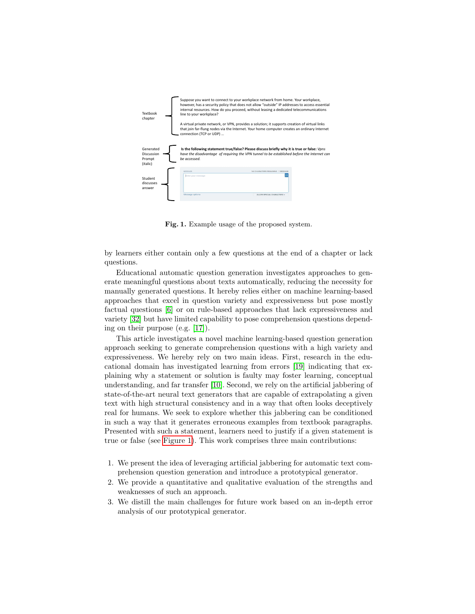

Fig. 1. Example usage of the proposed system.

by learners either contain only a few questions at the end of a chapter or lack questions.

Educational automatic question generation investigates approaches to generate meaningful questions about texts automatically, reducing the necessity for manually generated questions. It hereby relies either on machine learning-based approaches that excel in question variety and expressiveness but pose mostly factual questions [6] or on rule-based approaches that lack expressiveness and variety [32] but have limited capability to pose comprehension questions depending on their purpose (e.g.  $[17]$ ).

This article investigates a novel machine learning-based question generation approach seeking to generate comprehension questions with a high variety and expressiveness. We hereby rely on two main ideas. First, research in the educational domain has investigated learning from errors [19] indicating that explaining why a statement or solution is faulty may foster learning, conceptual understanding, and far transfer  $\overline{100}$ . Second, we rely on the artificial jabbering of state-of-the-art neural text generators that are capable of extrapolating a given text with high structural consistency and in a way that often looks deceptively real for humans. We seek to explore whether this jabbering can be conditioned in such a way that it generates erroneous examples from textbook paragraphs. Presented with such a statement, learners need to justify if a given statement is true or false (see Figure 1). This work comprises three main contributions:

- 1. We present the idea of leveraging artificial jabbering for automatic text comprehension question generation and introduce a prototypical generator.
- 2. We provide a quantitative and qualitative evaluation of the strengths and weaknesses of such an approach.
- 3. We distill the main challenges for future work based on an in-depth error analysis of our prototypical generator.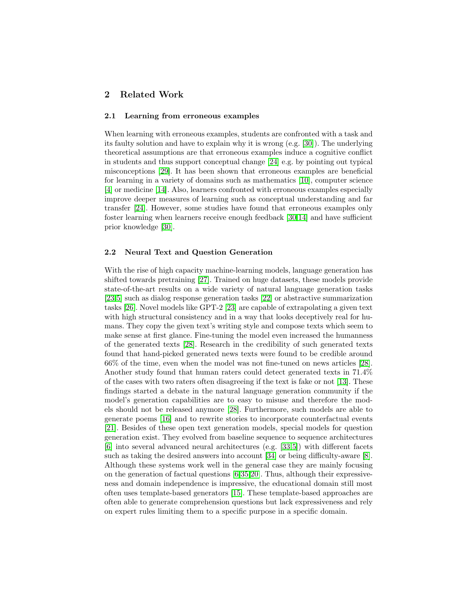# 2 Related Work

### 2.1 Learning from erroneous examples

When learning with erroneous examples, students are confronted with a task and its faulty solution and have to explain why it is wrong  $(e.g. 30)$ . The underlying theoretical assumptions are that erroneous examples induce a cognitive conflict in students and thus support conceptual change [24] e.g. by pointing out typical misconceptions [29]. It has been shown that erroneous examples are beneficial for learning in a variety of domains such as mathematics  $[10]$ , computer science [4] or medicine [14]. Also, learners confronted with erroneous examples especially improve deeper measures of learning such as conceptual understanding and far transfer [24]. However, some studies have found that erroneous examples only foster learning when learners receive enough feedback [30,14] and have sufficient prior knowledge [30].

### 2.2 Neural Text and Question Generation

With the rise of high capacity machine-learning models, language generation has shifted towards pretraining [27]. Trained on huge datasets, these models provide state-of-the-art results on a wide variety of natural language generation tasks [23,5] such as dialog response generation tasks [22] or abstractive summarization tasks [26]. Novel models like GPT-2 [23] are capable of extrapolating a given text with high structural consistency and in a way that looks deceptively real for humans. They copy the given text's writing style and compose texts which seem to make sense at first glance. Fine-tuning the model even increased the humanness of the generated texts [28]. Research in the credibility of such generated texts found that hand-picked generated news texts were found to be credible around 66% of the time, even when the model was not fine-tuned on news articles [28]. Another study found that human raters could detect generated texts in 71.4% of the cases with two raters often disagreeing if the text is fake or not [13]. These findings started a debate in the natural language generation community if the model's generation capabilities are to easy to misuse and therefore the models should not be released anymore [28]. Furthermore, such models are able to generate poems [16] and to rewrite stories to incorporate counterfactual events [21]. Besides of these open text generation models, special models for question generation exist. They evolved from baseline sequence to sequence architectures [6] into several advanced neural architectures (e.g. [33,5]) with different facets such as taking the desired answers into account  $\overline{34}$  or being difficulty-aware  $\overline{8}$ . Although these systems work well in the general case they are mainly focusing on the generation of factual questions  $\boxed{6,35,20}$ . Thus, although their expressiveness and domain independence is impressive, the educational domain still most often uses template-based generators [15]. These template-based approaches are often able to generate comprehension questions but lack expressiveness and rely on expert rules limiting them to a specific purpose in a specific domain.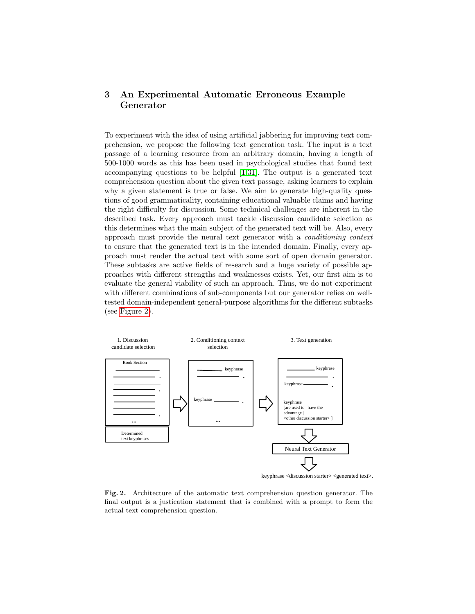# 3 An Experimental Automatic Erroneous Example Generator

To experiment with the idea of using artificial jabbering for improving text comprehension, we propose the following text generation task. The input is a text passage of a learning resource from an arbitrary domain, having a length of 500-1000 words as this has been used in psychological studies that found text accompanying questions to be helpful  $[131]$ . The output is a generated text comprehension question about the given text passage, asking learners to explain why a given statement is true or false. We aim to generate high-quality questions of good grammaticality, containing educational valuable claims and having the right difficulty for discussion. Some technical challenges are inherent in the described task. Every approach must tackle discussion candidate selection as this determines what the main subject of the generated text will be. Also, every approach must provide the neural text generator with a conditioning context to ensure that the generated text is in the intended domain. Finally, every approach must render the actual text with some sort of open domain generator. These subtasks are active fields of research and a huge variety of possible approaches with different strengths and weaknesses exists. Yet, our first aim is to evaluate the general viability of such an approach. Thus, we do not experiment with different combinations of sub-components but our generator relies on welltested domain-independent general-purpose algorithms for the different subtasks  $(see **Figure 2**).$ 



keyphrase <discussion starter> <generated text>.

Fig. 2. Architecture of the automatic text comprehension question generator. The final output is a justication statement that is combined with a prompt to form the actual text comprehension question.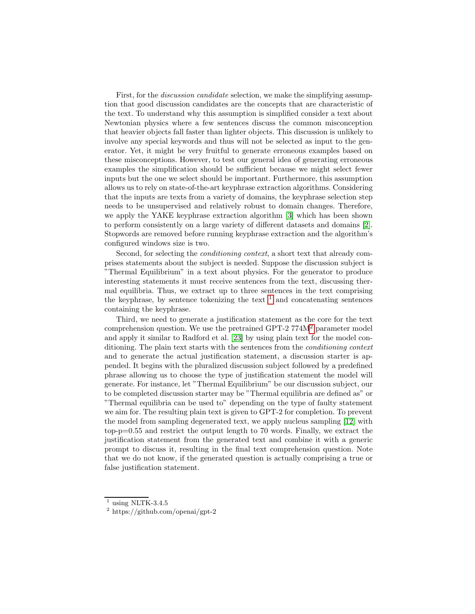First, for the discussion candidate selection, we make the simplifying assumption that good discussion candidates are the concepts that are characteristic of the text. To understand why this assumption is simplified consider a text about Newtonian physics where a few sentences discuss the common misconception that heavier objects fall faster than lighter objects. This discussion is unlikely to involve any special keywords and thus will not be selected as input to the generator. Yet, it might be very fruitful to generate erroneous examples based on these misconceptions. However, to test our general idea of generating erroneous examples the simplification should be sufficient because we might select fewer inputs but the one we select should be important. Furthermore, this assumption allows us to rely on state-of-the-art keyphrase extraction algorithms. Considering that the inputs are texts from a variety of domains, the keyphrase selection step needs to be unsupervised and relatively robust to domain changes. Therefore, we apply the YAKE keyphrase extraction algorithm  $\overline{3}$  which has been shown to perform consistently on a large variety of different datasets and domains  $\boxed{2}$ . Stopwords are removed before running keyphrase extraction and the algorithm's configured windows size is two.

Second, for selecting the conditioning context, a short text that already comprises statements about the subject is needed. Suppose the discussion subject is "Thermal Equilibrium" in a text about physics. For the generator to produce interesting statements it must receive sentences from the text, discussing thermal equilibria. Thus, we extract up to three sentences in the text comprising the keyphrase, by sentence tokenizing the text  $\frac{1}{\sqrt{1}}$  and concatenating sentences containing the keyphrase.

Third, we need to generate a justification statement as the core for the text comprehension question. We use the pretrained GPT-2  $774M^2$  parameter model and apply it similar to Radford et al.  $\boxed{23}$  by using plain text for the model conditioning. The plain text starts with the sentences from the *conditioning context* and to generate the actual justification statement, a discussion starter is appended. It begins with the pluralized discussion subject followed by a predefined phrase allowing us to choose the type of justification statement the model will generate. For instance, let "Thermal Equilibrium" be our discussion subject, our to be completed discussion starter may be "Thermal equilibria are defined as" or "Thermal equilibria can be used to" depending on the type of faulty statement we aim for. The resulting plain text is given to GPT-2 for completion. To prevent the model from sampling degenerated text, we apply nucleus sampling [12] with top-p=0.55 and restrict the output length to 70 words. Finally, we extract the justification statement from the generated text and combine it with a generic prompt to discuss it, resulting in the final text comprehension question. Note that we do not know, if the generated question is actually comprising a true or false justification statement.

 $1$  using NLTK-3.4.5

<sup>2</sup> https://github.com/openai/gpt-2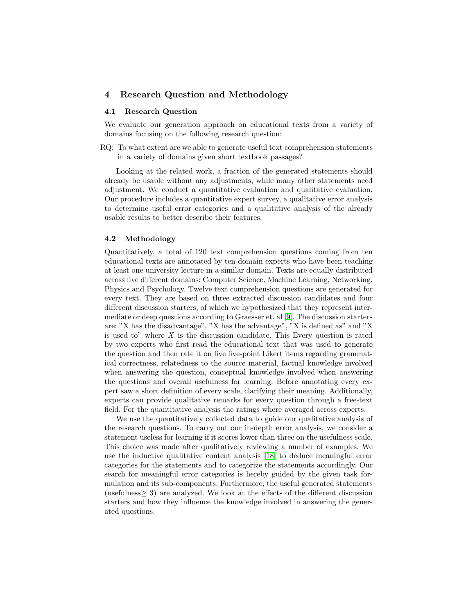# 4 Research Question and Methodology

### 4.1 Research Question

We evaluate our generation approach on educational texts from a variety of domains focusing on the following research question:

RQ: To what extent are we able to generate useful text comprehension statements in a variety of domains given short textbook passages?

Looking at the related work, a fraction of the generated statements should already be usable without any adjustments, while many other statements need adjustment. We conduct a quantitative evaluation and qualitative evaluation. Our procedure includes a quantitative expert survey, a qualitative error analysis to determine useful error categories and a qualitative analysis of the already usable results to better describe their features.

### 4.2 Methodology

Quantitatively, a total of 120 text comprehension questions coming from ten educational texts are annotated by ten domain experts who have been teaching at least one university lecture in a similar domain. Texts are equally distributed across five different domains: Computer Science, Machine Learning, Networking, Physics and Psychology. Twelve text comprehension questions are generated for every text. They are based on three extracted discussion candidates and four different discussion starters, of which we hypothesized that they represent intermediate or deep questions according to Graesser et. al [9]. The discussion starters are: "X has the disadvantage", "X has the advantage", "X is defined as" and "X is used to" where  $X$  is the discussion candidate. This Every question is rated by two experts who first read the educational text that was used to generate the question and then rate it on five five-point Likert items regarding grammatical correctness, relatedness to the source material, factual knowledge involved when answering the question, conceptual knowledge involved when answering the questions and overall usefulness for learning. Before annotating every expert saw a short definition of every scale, clarifying their meaning. Additionally, experts can provide qualitative remarks for every question through a free-text field. For the quantitative analysis the ratings where averaged across experts.

We use the quantitatively collected data to guide our qualitative analysis of the research questions. To carry out our in-depth error analysis, we consider a statement useless for learning if it scores lower than three on the usefulness scale. This choice was made after qualitatively reviewing a number of examples. We use the inductive qualitative content analysis  $[18]$  to deduce meaningful error categories for the statements and to categorize the statements accordingly. Our search for meaningful error categories is hereby guided by the given task formulation and its sub-components. Furthermore, the useful generated statements (usefulness≥ 3) are analyzed. We look at the effects of the different discussion starters and how they influence the knowledge involved in answering the generated questions.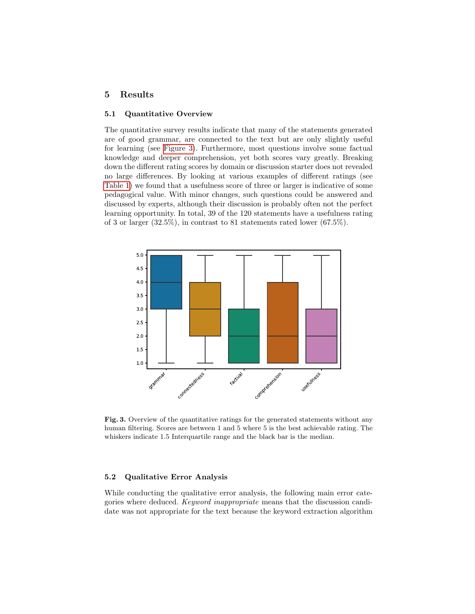#### **Results**  $\bf{5}$

#### $5.1$ **Quantitative Overview**

The quantitative survey results indicate that many of the statements generated are of good grammar, are connected to the text but are only slightly useful for learning (see  $\boxed{\text{Figure 3}}$ ). Furthermore, most questions involve some factual knowledge and deeper comprehension, yet both scores vary greatly. Breaking down the different rating scores by domain or discussion starter does not revealed no large differences. By looking at various examples of different ratings (see Table 1) we found that a usefulness score of three or larger is indicative of some pedagogical value. With minor changes, such questions could be answered and discussed by experts, although their discussion is probably often not the perfect learning opportunity. In total, 39 of the 120 statements have a usefulness rating of 3 or larger  $(32.5\%)$ , in contrast to 81 statements rated lower  $(67.5\%)$ .



Fig. 3. Overview of the quantitative ratings for the generated statements without any human filtering. Scores are between 1 and 5 where 5 is the best achievable rating. The whiskers indicate 1.5 Interquartile range and the black bar is the median.

#### **Qualitative Error Analysis** 5.2

While conducting the qualitative error analysis, the following main error categories where deduced. Keyword inappropriate means that the discussion candidate was not appropriate for the text because the keyword extraction algorithm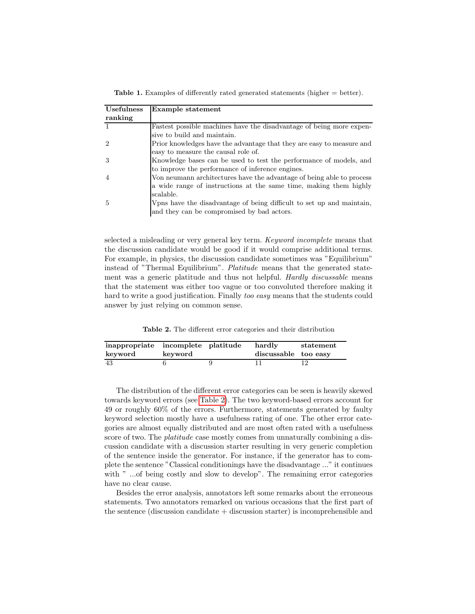|  |  |  |  |  |  |  | <b>Table 1.</b> Examples of differently rated generated statements (higher $=$ better). |  |  |  |  |
|--|--|--|--|--|--|--|-----------------------------------------------------------------------------------------|--|--|--|--|
|--|--|--|--|--|--|--|-----------------------------------------------------------------------------------------|--|--|--|--|

| <b>Usefulness</b> | <b>Example statement</b>                                              |
|-------------------|-----------------------------------------------------------------------|
| ranking           |                                                                       |
|                   | Fastest possible machines have the disadvantage of being more expen-  |
|                   | sive to build and maintain.                                           |
| $\overline{2}$    | Prior knowledges have the advantage that they are easy to measure and |
|                   | easy to measure the causal role of.                                   |
| 3                 | Knowledge bases can be used to test the performance of models, and    |
|                   | to improve the performance of inference engines.                      |
| $\overline{4}$    | Von neumann architectures have the advantage of being able to process |
|                   | a wide range of instructions at the same time, making them highly     |
|                   | scalable.                                                             |
| 5                 | Vpns have the disadvantage of being difficult to set up and maintain, |
|                   | and they can be compromised by bad actors.                            |

selected a misleading or very general key term. Keyword incomplete means that the discussion candidate would be good if it would comprise additional terms. For example, in physics, the discussion candidate sometimes was "Equilibrium" instead of "Thermal Equilibrium". Platitude means that the generated statement was a generic platitude and thus not helpful. Hardly discussable means that the statement was either too vague or too convoluted therefore making it hard to write a good justification. Finally *too easy* means that the students could answer by just relying on common sense.

Table 2. The different error categories and their distribution

| inappropriate incomplete platitude |         | hardly               | statement |
|------------------------------------|---------|----------------------|-----------|
| keyword                            | keyword | discussable too easy |           |
| 43                                 |         |                      |           |

The distribution of the different error categories can be seen is heavily skewed towards keyword errors (see Table 2). The two keyword-based errors account for 49 or roughly 60% of the errors. Furthermore, statements generated by faulty keyword selection mostly have a usefulness rating of one. The other error categories are almost equally distributed and are most often rated with a usefulness score of two. The *platitude* case mostly comes from unnaturally combining a discussion candidate with a discussion starter resulting in very generic completion of the sentence inside the generator. For instance, if the generator has to complete the sentence "Classical conditionings have the disadvantage ..." it continues with " ...of being costly and slow to develop". The remaining error categories have no clear cause.

Besides the error analysis, annotators left some remarks about the erroneous statements. Two annotators remarked on various occasions that the first part of the sentence (discussion candidate + discussion starter) is incomprehensible and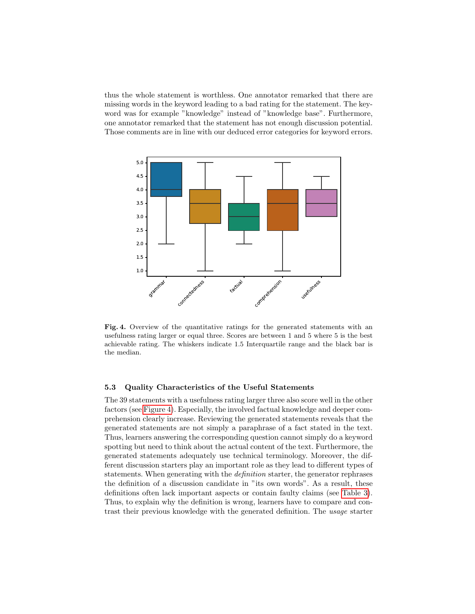thus the whole statement is worthless. One annotator remarked that there are missing words in the keyword leading to a bad rating for the statement. The keyword was for example "knowledge" instead of "knowledge base". Furthermore, one annotator remarked that the statement has not enough discussion potential. Those comments are in line with our deduced error categories for keyword errors.



Fig. 4. Overview of the quantitative ratings for the generated statements with an usefulness rating larger or equal three. Scores are between 1 and 5 where 5 is the best achievable rating. The whiskers indicate 1.5 Interquartile range and the black bar is the median.

#### Quality Characteristics of the Useful Statements  $5.3$

The 39 statements with a usefulness rating larger three also score well in the other factors (see Figure 4). Especially, the involved factual knowledge and deeper comprehension clearly increase. Reviewing the generated statements reveals that the generated statements are not simply a paraphrase of a fact stated in the text. Thus, learners answering the corresponding question cannot simply do a keyword spotting but need to think about the actual content of the text. Furthermore, the generated statements adequately use technical terminology. Moreover, the different discussion starters play an important role as they lead to different types of statements. When generating with the *definition* starter, the generator rephrases the definition of a discussion candidate in "its own words". As a result, these definitions often lack important aspects or contain faulty claims (see Table 3). Thus, to explain why the definition is wrong, learners have to compare and contrast their previous knowledge with the generated definition. The usage starter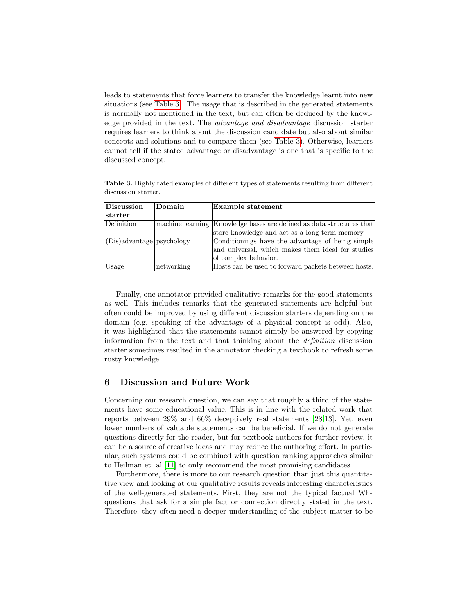leads to statements that force learners to transfer the knowledge learnt into new situations (see  $\sqrt{\text{Table 3}}$ ). The usage that is described in the generated statements is normally not mentioned in the text, but can often be deduced by the knowledge provided in the text. The advantage and disadvantage discussion starter requires learners to think about the discussion candidate but also about similar concepts and solutions and to compare them (see Table 3). Otherwise, learners cannot tell if the stated advantage or disadvantage is one that is specific to the discussed concept.

Table 3. Highly rated examples of different types of statements resulting from different discussion starter.

| <b>Discussion</b>         | Domain     | Example statement                                                    |
|---------------------------|------------|----------------------------------------------------------------------|
| starter                   |            |                                                                      |
| Definition                |            | machine learning Knowledge bases are defined as data structures that |
|                           |            | store knowledge and act as a long-term memory.                       |
| (Dis)advantage psychology |            | Conditionings have the advantage of being simple                     |
|                           |            | and universal, which makes them ideal for studies                    |
|                           |            | of complex behavior.                                                 |
| Usage                     | networking | Hosts can be used to forward packets between hosts.                  |

Finally, one annotator provided qualitative remarks for the good statements as well. This includes remarks that the generated statements are helpful but often could be improved by using different discussion starters depending on the domain (e.g. speaking of the advantage of a physical concept is odd). Also, it was highlighted that the statements cannot simply be answered by copying information from the text and that thinking about the definition discussion starter sometimes resulted in the annotator checking a textbook to refresh some rusty knowledge.

## 6 Discussion and Future Work

Concerning our research question, we can say that roughly a third of the statements have some educational value. This is in line with the related work that reports between  $29\%$  and  $66\%$  deceptively real statements  $\boxed{2813}$ . Yet, even lower numbers of valuable statements can be beneficial. If we do not generate questions directly for the reader, but for textbook authors for further review, it can be a source of creative ideas and may reduce the authoring effort. In particular, such systems could be combined with question ranking approaches similar to Heilman et. al [11] to only recommend the most promising candidates.

Furthermore, there is more to our research question than just this quantitative view and looking at our qualitative results reveals interesting characteristics of the well-generated statements. First, they are not the typical factual Whquestions that ask for a simple fact or connection directly stated in the text. Therefore, they often need a deeper understanding of the subject matter to be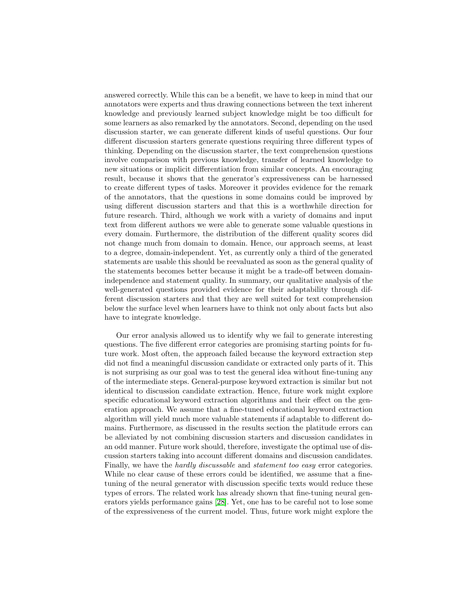answered correctly. While this can be a benefit, we have to keep in mind that our annotators were experts and thus drawing connections between the text inherent knowledge and previously learned subject knowledge might be too difficult for some learners as also remarked by the annotators. Second, depending on the used discussion starter, we can generate different kinds of useful questions. Our four different discussion starters generate questions requiring three different types of thinking. Depending on the discussion starter, the text comprehension questions involve comparison with previous knowledge, transfer of learned knowledge to new situations or implicit differentiation from similar concepts. An encouraging result, because it shows that the generator's expressiveness can be harnessed to create different types of tasks. Moreover it provides evidence for the remark of the annotators, that the questions in some domains could be improved by using different discussion starters and that this is a worthwhile direction for future research. Third, although we work with a variety of domains and input text from different authors we were able to generate some valuable questions in every domain. Furthermore, the distribution of the different quality scores did not change much from domain to domain. Hence, our approach seems, at least to a degree, domain-independent. Yet, as currently only a third of the generated statements are usable this should be reevaluated as soon as the general quality of the statements becomes better because it might be a trade-off between domainindependence and statement quality. In summary, our qualitative analysis of the well-generated questions provided evidence for their adaptability through different discussion starters and that they are well suited for text comprehension below the surface level when learners have to think not only about facts but also have to integrate knowledge.

Our error analysis allowed us to identify why we fail to generate interesting questions. The five different error categories are promising starting points for future work. Most often, the approach failed because the keyword extraction step did not find a meaningful discussion candidate or extracted only parts of it. This is not surprising as our goal was to test the general idea without fine-tuning any of the intermediate steps. General-purpose keyword extraction is similar but not identical to discussion candidate extraction. Hence, future work might explore specific educational keyword extraction algorithms and their effect on the generation approach. We assume that a fine-tuned educational keyword extraction algorithm will yield much more valuable statements if adaptable to different domains. Furthermore, as discussed in the results section the platitude errors can be alleviated by not combining discussion starters and discussion candidates in an odd manner. Future work should, therefore, investigate the optimal use of discussion starters taking into account different domains and discussion candidates. Finally, we have the *hardly discussable* and *statement too easy* error categories. While no clear cause of these errors could be identified, we assume that a finetuning of the neural generator with discussion specific texts would reduce these types of errors. The related work has already shown that fine-tuning neural generators yields performance gains [28]. Yet, one has to be careful not to lose some of the expressiveness of the current model. Thus, future work might explore the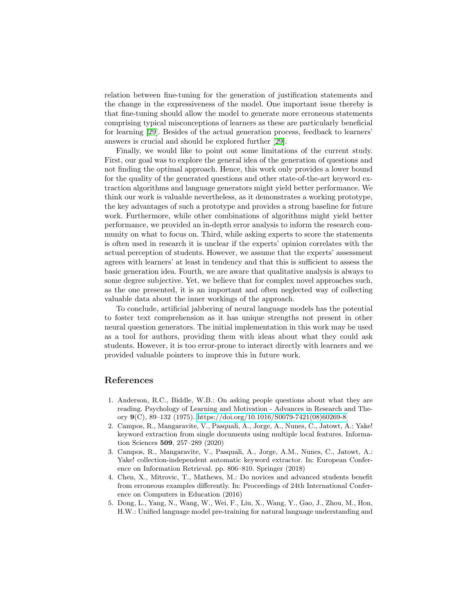relation between fine-tuning for the generation of justification statements and the change in the expressiveness of the model. One important issue thereby is that fine-tuning should allow the model to generate more erroneous statements comprising typical misconceptions of learners as these are particularly beneficial for learning [29]. Besides of the actual generation process, feedback to learners' answers is crucial and should be explored further [29].

Finally, we would like to point out some limitations of the current study. First, our goal was to explore the general idea of the generation of questions and not finding the optimal approach. Hence, this work only provides a lower bound for the quality of the generated questions and other state-of-the-art keyword extraction algorithms and language generators might yield better performance. We think our work is valuable nevertheless, as it demonstrates a working prototype, the key advantages of such a prototype and provides a strong baseline for future work. Furthermore, while other combinations of algorithms might yield better performance, we provided an in-depth error analysis to inform the research community on what to focus on. Third, while asking experts to score the statements is often used in research it is unclear if the experts' opinion correlates with the actual perception of students. However, we assume that the experts' assessment agrees with learners' at least in tendency and that this is sufficient to assess the basic generation idea. Fourth, we are aware that qualitative analysis is always to some degree subjective. Yet, we believe that for complex novel approaches such, as the one presented, it is an important and often neglected way of collecting valuable data about the inner workings of the approach.

To conclude, artificial jabbering of neural language models has the potential to foster text comprehension as it has unique strengths not present in other neural question generators. The initial implementation in this work may be used as a tool for authors, providing them with ideas about what they could ask students. However, it is too error-prone to interact directly with learners and we provided valuable pointers to improve this in future work.

# References

- 1. Anderson, R.C., Biddle, W.B.: On asking people questions about what they are reading. Psychology of Learning and Motivation - Advances in Research and Theory 9(C), 89–132 (1975). https://doi.org/10.1016/S0079-7421(08)60269-8
- 2. Campos, R., Mangaravite, V., Pasquali, A., Jorge, A., Nunes, C., Jatowt, A.: Yake! keyword extraction from single documents using multiple local features. Information Sciences 509, 257–289 (2020)
- 3. Campos, R., Mangaravite, V., Pasquali, A., Jorge, A.M., Nunes, C., Jatowt, A.: Yake! collection-independent automatic keyword extractor. In: European Conference on Information Retrieval. pp. 806–810. Springer (2018)
- 4. Chen, X., Mitrovic, T., Mathews, M.: Do novices and advanced students benefit from erroneous examples differently. In: Proceedings of 24th International Conference on Computers in Education (2016)
- 5. Dong, L., Yang, N., Wang, W., Wei, F., Liu, X., Wang, Y., Gao, J., Zhou, M., Hon, H.W.: Unified language model pre-training for natural language understanding and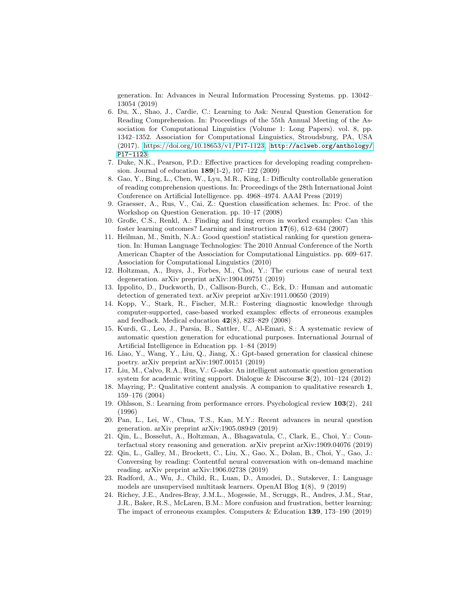generation. In: Advances in Neural Information Processing Systems. pp. 13042– 13054 (2019)

- 6. Du, X., Shao, J., Cardie, C.: Learning to Ask: Neural Question Generation for Reading Comprehension. In: Proceedings of the 55th Annual Meeting of the Association for Computational Linguistics (Volume 1: Long Papers). vol. 8, pp. 1342–1352. Association for Computational Linguistics, Stroudsburg, PA, USA (2017). https://doi.org/10.18653/v1/P17-1123, http://aclweb.org/anthology/ P17-1123
- 7. Duke, N.K., Pearson, P.D.: Effective practices for developing reading comprehension. Journal of education 189(1-2), 107–122 (2009)
- 8. Gao, Y., Bing, L., Chen, W., Lyu, M.R., King, I.: Difficulty controllable generation of reading comprehension questions. In: Proceedings of the 28th International Joint Conference on Artificial Intelligence. pp. 4968–4974. AAAI Press (2019)
- 9. Graesser, A., Rus, V., Cai, Z.: Question classification schemes. In: Proc. of the Workshop on Question Generation. pp. 10–17 (2008)
- 10. Große, C.S., Renkl, A.: Finding and fixing errors in worked examples: Can this foster learning outcomes? Learning and instruction 17(6), 612–634 (2007)
- 11. Heilman, M., Smith, N.A.: Good question! statistical ranking for question generation. In: Human Language Technologies: The 2010 Annual Conference of the North American Chapter of the Association for Computational Linguistics. pp. 609–617. Association for Computational Linguistics (2010)
- 12. Holtzman, A., Buys, J., Forbes, M., Choi, Y.: The curious case of neural text degeneration. arXiv preprint arXiv:1904.09751 (2019)
- 13. Ippolito, D., Duckworth, D., Callison-Burch, C., Eck, D.: Human and automatic detection of generated text. arXiv preprint arXiv:1911.00650 (2019)
- 14. Kopp, V., Stark, R., Fischer, M.R.: Fostering diagnostic knowledge through computer-supported, case-based worked examples: effects of erroneous examples and feedback. Medical education 42(8), 823–829 (2008)
- 15. Kurdi, G., Leo, J., Parsia, B., Sattler, U., Al-Emari, S.: A systematic review of automatic question generation for educational purposes. International Journal of Artificial Intelligence in Education pp. 1–84 (2019)
- 16. Liao, Y., Wang, Y., Liu, Q., Jiang, X.: Gpt-based generation for classical chinese poetry. arXiv preprint arXiv:1907.00151 (2019)
- 17. Liu, M., Calvo, R.A., Rus, V.: G-asks: An intelligent automatic question generation system for academic writing support. Dialogue & Discourse  $3(2)$ ,  $101-124$  (2012)
- 18. Mayring, P.: Qualitative content analysis. A companion to qualitative research 1, 159–176 (2004)
- 19. Ohlsson, S.: Learning from performance errors. Psychological review 103(2), 241 (1996)
- 20. Pan, L., Lei, W., Chua, T.S., Kan, M.Y.: Recent advances in neural question generation. arXiv preprint arXiv:1905.08949 (2019)
- 21. Qin, L., Bosselut, A., Holtzman, A., Bhagavatula, C., Clark, E., Choi, Y.: Counterfactual story reasoning and generation. arXiv preprint arXiv:1909.04076 (2019)
- 22. Qin, L., Galley, M., Brockett, C., Liu, X., Gao, X., Dolan, B., Choi, Y., Gao, J.: Conversing by reading: Contentful neural conversation with on-demand machine reading. arXiv preprint arXiv:1906.02738 (2019)
- 23. Radford, A., Wu, J., Child, R., Luan, D., Amodei, D., Sutskever, I.: Language models are unsupervised multitask learners. OpenAI Blog 1(8), 9 (2019)
- 24. Richey, J.E., Andres-Bray, J.M.L., Mogessie, M., Scruggs, R., Andres, J.M., Star, J.R., Baker, R.S., McLaren, B.M.: More confusion and frustration, better learning: The impact of erroneous examples. Computers & Education 139, 173–190 (2019)